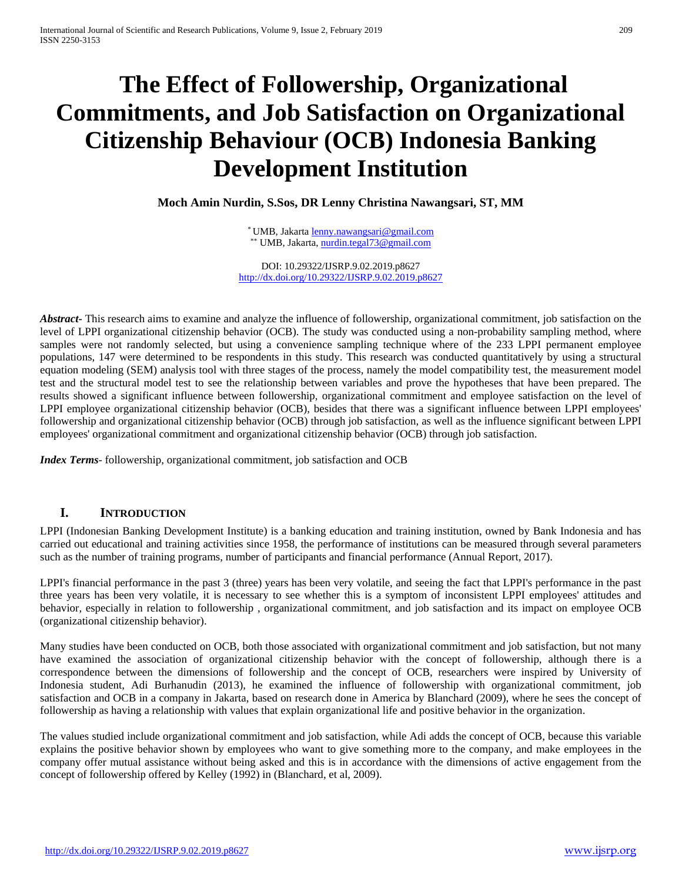# **The Effect of Followership, Organizational Commitments, and Job Satisfaction on Organizational Citizenship Behaviour (OCB) Indonesia Banking Development Institution**

**Moch Amin Nurdin, S.Sos, DR Lenny Christina Nawangsari, ST, MM**

\* UMB, Jakart[a lenny.nawangsari@gmail.com](mailto:lenny.nawangsari@gmail.com) \*\* UMB, Jakarta, [nurdin.tegal73@gmail.com](mailto:nurdin.tegal73@gmail.com)

DOI: 10.29322/IJSRP.9.02.2019.p8627 <http://dx.doi.org/10.29322/IJSRP.9.02.2019.p8627>

*Abstract***-** This research aims to examine and analyze the influence of followership, organizational commitment, job satisfaction on the level of LPPI organizational citizenship behavior (OCB). The study was conducted using a non-probability sampling method, where samples were not randomly selected, but using a convenience sampling technique where of the 233 LPPI permanent employee populations, 147 were determined to be respondents in this study. This research was conducted quantitatively by using a structural equation modeling (SEM) analysis tool with three stages of the process, namely the model compatibility test, the measurement model test and the structural model test to see the relationship between variables and prove the hypotheses that have been prepared. The results showed a significant influence between followership, organizational commitment and employee satisfaction on the level of LPPI employee organizational citizenship behavior (OCB), besides that there was a significant influence between LPPI employees' followership and organizational citizenship behavior (OCB) through job satisfaction, as well as the influence significant between LPPI employees' organizational commitment and organizational citizenship behavior (OCB) through job satisfaction.

*Index Terms*- followership, organizational commitment, job satisfaction and OCB

## **I. INTRODUCTION**

LPPI (Indonesian Banking Development Institute) is a banking education and training institution, owned by Bank Indonesia and has carried out educational and training activities since 1958, the performance of institutions can be measured through several parameters such as the number of training programs, number of participants and financial performance (Annual Report, 2017).

LPPI's financial performance in the past 3 (three) years has been very volatile, and seeing the fact that LPPI's performance in the past three years has been very volatile, it is necessary to see whether this is a symptom of inconsistent LPPI employees' attitudes and behavior, especially in relation to followership , organizational commitment, and job satisfaction and its impact on employee OCB (organizational citizenship behavior).

Many studies have been conducted on OCB, both those associated with organizational commitment and job satisfaction, but not many have examined the association of organizational citizenship behavior with the concept of followership, although there is a correspondence between the dimensions of followership and the concept of OCB, researchers were inspired by University of Indonesia student, Adi Burhanudin (2013), he examined the influence of followership with organizational commitment, job satisfaction and OCB in a company in Jakarta, based on research done in America by Blanchard (2009), where he sees the concept of followership as having a relationship with values that explain organizational life and positive behavior in the organization.

The values studied include organizational commitment and job satisfaction, while Adi adds the concept of OCB, because this variable explains the positive behavior shown by employees who want to give something more to the company, and make employees in the company offer mutual assistance without being asked and this is in accordance with the dimensions of active engagement from the concept of followership offered by Kelley (1992) in (Blanchard, et al, 2009).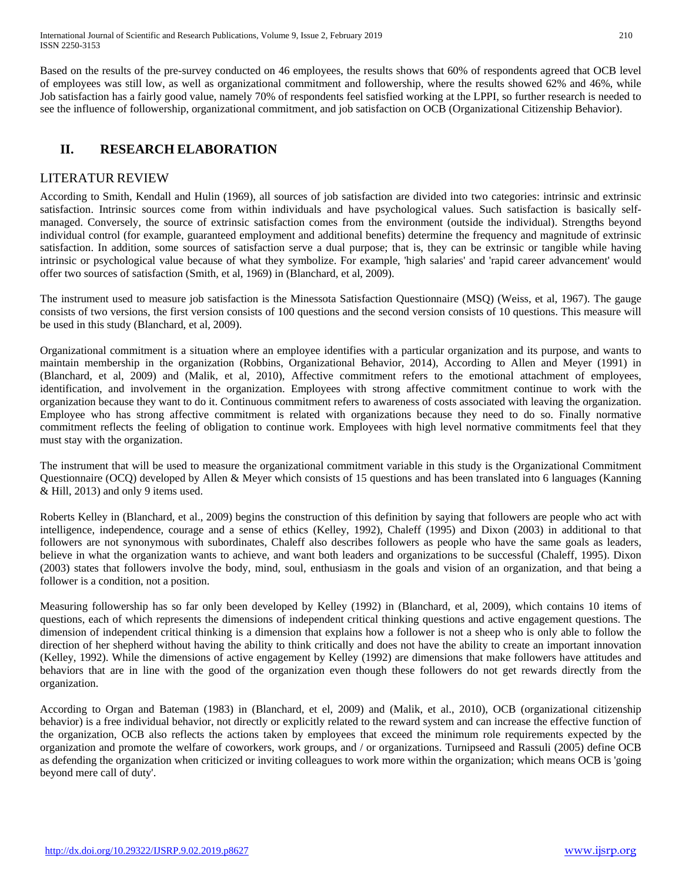Based on the results of the pre-survey conducted on 46 employees, the results shows that 60% of respondents agreed that OCB level of employees was still low, as well as organizational commitment and followership, where the results showed 62% and 46%, while Job satisfaction has a fairly good value, namely 70% of respondents feel satisfied working at the LPPI, so further research is needed to see the influence of followership, organizational commitment, and job satisfaction on OCB (Organizational Citizenship Behavior).

# **II. RESEARCH ELABORATION**

## LITERATUR REVIEW

According to Smith, Kendall and Hulin (1969), all sources of job satisfaction are divided into two categories: intrinsic and extrinsic satisfaction. Intrinsic sources come from within individuals and have psychological values. Such satisfaction is basically selfmanaged. Conversely, the source of extrinsic satisfaction comes from the environment (outside the individual). Strengths beyond individual control (for example, guaranteed employment and additional benefits) determine the frequency and magnitude of extrinsic satisfaction. In addition, some sources of satisfaction serve a dual purpose; that is, they can be extrinsic or tangible while having intrinsic or psychological value because of what they symbolize. For example, 'high salaries' and 'rapid career advancement' would offer two sources of satisfaction (Smith, et al, 1969) in (Blanchard, et al, 2009).

The instrument used to measure job satisfaction is the Minessota Satisfaction Questionnaire (MSQ) (Weiss, et al, 1967). The gauge consists of two versions, the first version consists of 100 questions and the second version consists of 10 questions. This measure will be used in this study (Blanchard, et al, 2009).

Organizational commitment is a situation where an employee identifies with a particular organization and its purpose, and wants to maintain membership in the organization (Robbins, Organizational Behavior, 2014), According to Allen and Meyer (1991) in (Blanchard, et al, 2009) and (Malik, et al, 2010), Affective commitment refers to the emotional attachment of employees, identification, and involvement in the organization. Employees with strong affective commitment continue to work with the organization because they want to do it. Continuous commitment refers to awareness of costs associated with leaving the organization. Employee who has strong affective commitment is related with organizations because they need to do so. Finally normative commitment reflects the feeling of obligation to continue work. Employees with high level normative commitments feel that they must stay with the organization.

The instrument that will be used to measure the organizational commitment variable in this study is the Organizational Commitment Questionnaire (OCQ) developed by Allen & Meyer which consists of 15 questions and has been translated into 6 languages (Kanning & Hill, 2013) and only 9 items used.

Roberts Kelley in (Blanchard, et al., 2009) begins the construction of this definition by saying that followers are people who act with intelligence, independence, courage and a sense of ethics (Kelley, 1992), Chaleff (1995) and Dixon (2003) in additional to that followers are not synonymous with subordinates, Chaleff also describes followers as people who have the same goals as leaders, believe in what the organization wants to achieve, and want both leaders and organizations to be successful (Chaleff, 1995). Dixon (2003) states that followers involve the body, mind, soul, enthusiasm in the goals and vision of an organization, and that being a follower is a condition, not a position.

Measuring followership has so far only been developed by Kelley (1992) in (Blanchard, et al, 2009), which contains 10 items of questions, each of which represents the dimensions of independent critical thinking questions and active engagement questions. The dimension of independent critical thinking is a dimension that explains how a follower is not a sheep who is only able to follow the direction of her shepherd without having the ability to think critically and does not have the ability to create an important innovation (Kelley, 1992). While the dimensions of active engagement by Kelley (1992) are dimensions that make followers have attitudes and behaviors that are in line with the good of the organization even though these followers do not get rewards directly from the organization.

According to Organ and Bateman (1983) in (Blanchard, et el, 2009) and (Malik, et al., 2010), OCB (organizational citizenship behavior) is a free individual behavior, not directly or explicitly related to the reward system and can increase the effective function of the organization, OCB also reflects the actions taken by employees that exceed the minimum role requirements expected by the organization and promote the welfare of coworkers, work groups, and / or organizations. Turnipseed and Rassuli (2005) define OCB as defending the organization when criticized or inviting colleagues to work more within the organization; which means OCB is 'going beyond mere call of duty'.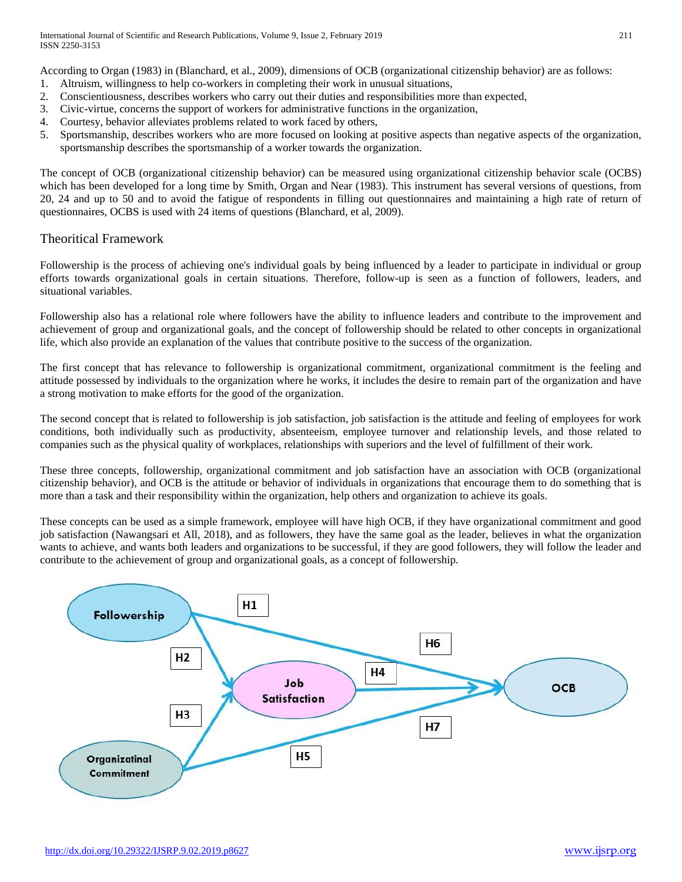According to Organ (1983) in (Blanchard, et al., 2009), dimensions of OCB (organizational citizenship behavior) are as follows:

- 1. Altruism, willingness to help co-workers in completing their work in unusual situations,
- 2. Conscientiousness, describes workers who carry out their duties and responsibilities more than expected,
- 3. Civic-virtue, concerns the support of workers for administrative functions in the organization,
- 4. Courtesy, behavior alleviates problems related to work faced by others,
- 5. Sportsmanship, describes workers who are more focused on looking at positive aspects than negative aspects of the organization, sportsmanship describes the sportsmanship of a worker towards the organization.

The concept of OCB (organizational citizenship behavior) can be measured using organizational citizenship behavior scale (OCBS) which has been developed for a long time by Smith, Organ and Near (1983). This instrument has several versions of questions, from 20, 24 and up to 50 and to avoid the fatigue of respondents in filling out questionnaires and maintaining a high rate of return of questionnaires, OCBS is used with 24 items of questions (Blanchard, et al, 2009).

## Theoritical Framework

Followership is the process of achieving one's individual goals by being influenced by a leader to participate in individual or group efforts towards organizational goals in certain situations. Therefore, follow-up is seen as a function of followers, leaders, and situational variables.

Followership also has a relational role where followers have the ability to influence leaders and contribute to the improvement and achievement of group and organizational goals, and the concept of followership should be related to other concepts in organizational life, which also provide an explanation of the values that contribute positive to the success of the organization.

The first concept that has relevance to followership is organizational commitment, organizational commitment is the feeling and attitude possessed by individuals to the organization where he works, it includes the desire to remain part of the organization and have a strong motivation to make efforts for the good of the organization.

The second concept that is related to followership is job satisfaction, job satisfaction is the attitude and feeling of employees for work conditions, both individually such as productivity, absenteeism, employee turnover and relationship levels, and those related to companies such as the physical quality of workplaces, relationships with superiors and the level of fulfillment of their work.

These three concepts, followership, organizational commitment and job satisfaction have an association with OCB (organizational citizenship behavior), and OCB is the attitude or behavior of individuals in organizations that encourage them to do something that is more than a task and their responsibility within the organization, help others and organization to achieve its goals.

These concepts can be used as a simple framework, employee will have high OCB, if they have organizational commitment and good job satisfaction (Nawangsari et All, 2018), and as followers, they have the same goal as the leader, believes in what the organization wants to achieve, and wants both leaders and organizations to be successful, if they are good followers, they will follow the leader and contribute to the achievement of group and organizational goals, as a concept of followership.

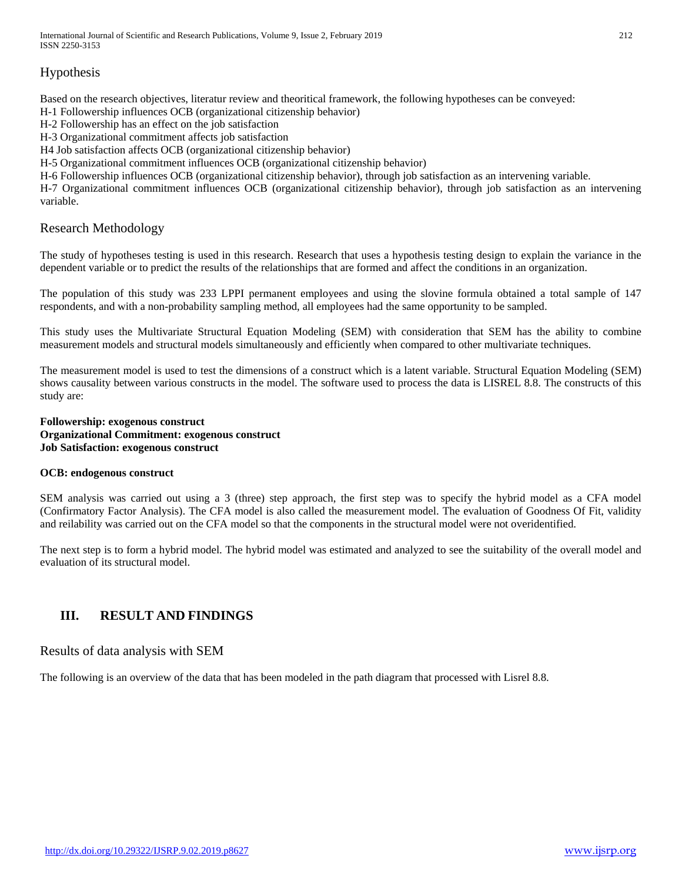# Hypothesis

Based on the research objectives, literatur review and theoritical framework, the following hypotheses can be conveyed:

H-1 Followership influences OCB (organizational citizenship behavior)

H-2 Followership has an effect on the job satisfaction

H-3 Organizational commitment affects job satisfaction

H4 Job satisfaction affects OCB (organizational citizenship behavior)

H-5 Organizational commitment influences OCB (organizational citizenship behavior)

H-6 Followership influences OCB (organizational citizenship behavior), through job satisfaction as an intervening variable.

H-7 Organizational commitment influences OCB (organizational citizenship behavior), through job satisfaction as an intervening variable.

## Research Methodology

The study of hypotheses testing is used in this research. Research that uses a hypothesis testing design to explain the variance in the dependent variable or to predict the results of the relationships that are formed and affect the conditions in an organization.

The population of this study was 233 LPPI permanent employees and using the slovine formula obtained a total sample of 147 respondents, and with a non-probability sampling method, all employees had the same opportunity to be sampled.

This study uses the Multivariate Structural Equation Modeling (SEM) with consideration that SEM has the ability to combine measurement models and structural models simultaneously and efficiently when compared to other multivariate techniques.

The measurement model is used to test the dimensions of a construct which is a latent variable. Structural Equation Modeling (SEM) shows causality between various constructs in the model. The software used to process the data is LISREL 8.8. The constructs of this study are:

#### **Followership: exogenous construct Organizational Commitment: exogenous construct Job Satisfaction: exogenous construct**

#### **OCB: endogenous construct**

SEM analysis was carried out using a 3 (three) step approach, the first step was to specify the hybrid model as a CFA model (Confirmatory Factor Analysis). The CFA model is also called the measurement model. The evaluation of Goodness Of Fit, validity and reilability was carried out on the CFA model so that the components in the structural model were not overidentified.

The next step is to form a hybrid model. The hybrid model was estimated and analyzed to see the suitability of the overall model and evaluation of its structural model.

# **III. RESULT AND FINDINGS**

## Results of data analysis with SEM

The following is an overview of the data that has been modeled in the path diagram that processed with Lisrel 8.8.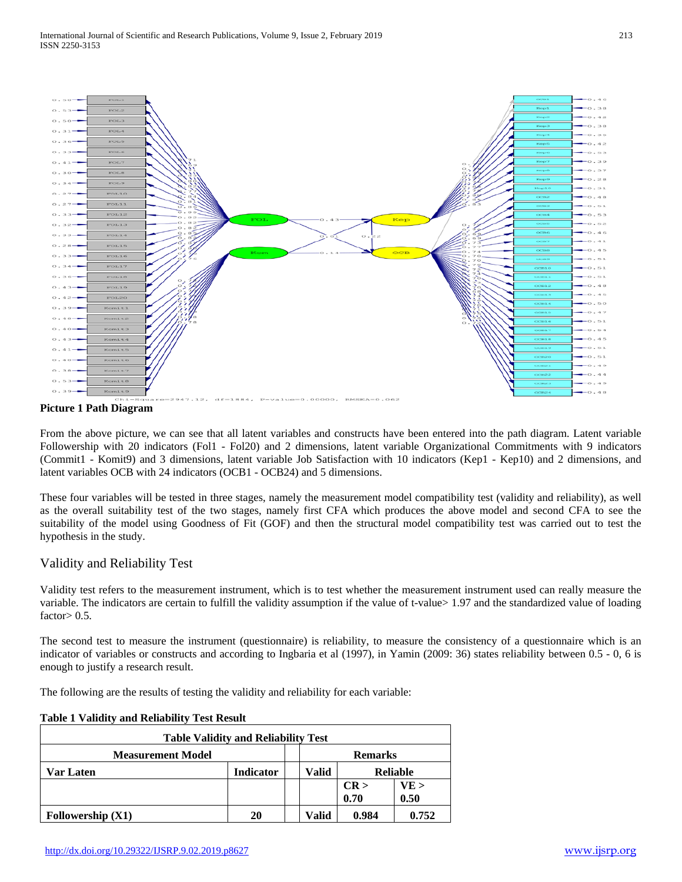

#### **Picture 1 Path Diagram**

From the above picture, we can see that all latent variables and constructs have been entered into the path diagram. Latent variable Followership with 20 indicators (Fol1 - Fol20) and 2 dimensions, latent variable Organizational Commitments with 9 indicators (Commit1 - Komit9) and 3 dimensions, latent variable Job Satisfaction with 10 indicators (Kep1 - Kep10) and 2 dimensions, and latent variables OCB with 24 indicators (OCB1 - OCB24) and 5 dimensions.

These four variables will be tested in three stages, namely the measurement model compatibility test (validity and reliability), as well as the overall suitability test of the two stages, namely first CFA which produces the above model and second CFA to see the suitability of the model using Goodness of Fit (GOF) and then the structural model compatibility test was carried out to test the hypothesis in the study.

## Validity and Reliability Test

Validity test refers to the measurement instrument, which is to test whether the measurement instrument used can really measure the variable. The indicators are certain to fulfill the validity assumption if the value of t-value> 1.97 and the standardized value of loading factor $> 0.5$ .

The second test to measure the instrument (questionnaire) is reliability, to measure the consistency of a questionnaire which is an indicator of variables or constructs and according to Ingbaria et al (1997), in Yamin (2009: 36) states reliability between 0.5 - 0, 6 is enough to justify a research result.

The following are the results of testing the validity and reliability for each variable:

| <b>Table Validity and Reliability Test</b> |                  |  |       |                 |       |
|--------------------------------------------|------------------|--|-------|-----------------|-------|
| <b>Measurement Model</b>                   |                  |  |       | <b>Remarks</b>  |       |
| Var Laten                                  | <b>Indicator</b> |  | Valid | <b>Reliable</b> |       |
|                                            |                  |  |       | CR >            | VE >  |
|                                            |                  |  |       | 0.70            | 0.50  |
| Followership $(X1)$                        | 20               |  | Valid | 0.984           | 0.752 |

#### **Table 1 Validity and Reliability Test Result**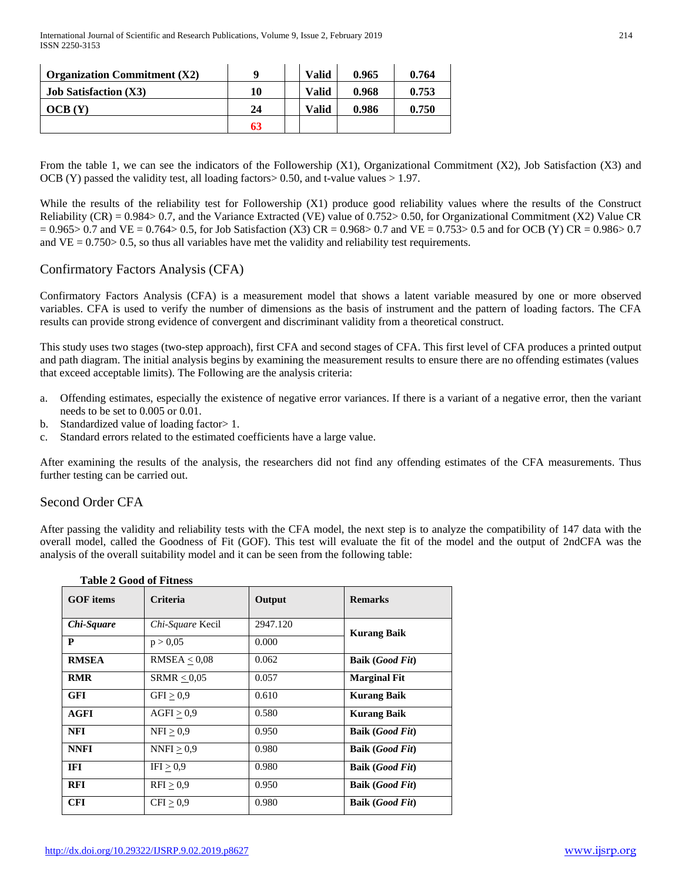| <b>Organization Commitment</b> $(X2)$ |    | <b>Valid</b> | 0.965 | 0.764 |
|---------------------------------------|----|--------------|-------|-------|
| <b>Job Satisfaction (X3)</b>          | 10 | <b>Valid</b> | 0.968 | 0.753 |
| OCB(Y)                                | 24 | <b>Valid</b> | 0.986 | 0.750 |
|                                       | 63 |              |       |       |

From the table 1, we can see the indicators of the Followership (X1), Organizational Commitment (X2), Job Satisfaction (X3) and OCB (Y) passed the validity test, all loading factors> 0.50, and t-value values > 1.97.

While the results of the reliability test for Followership (X1) produce good reliability values where the results of the Construct Reliability (CR) = 0.984> 0.7, and the Variance Extracted (VE) value of 0.752> 0.50, for Organizational Commitment (X2) Value CR  $= 0.965 > 0.7$  and VE  $= 0.764 > 0.5$ , for Job Satisfaction (X3) CR = 0.968> 0.7 and VE  $= 0.753 > 0.5$  and for OCB (Y) CR = 0.986> 0.7 and  $VE = 0.750 > 0.5$ , so thus all variables have met the validity and reliability test requirements.

## Confirmatory Factors Analysis (CFA)

Confirmatory Factors Analysis (CFA) is a measurement model that shows a latent variable measured by one or more observed variables. CFA is used to verify the number of dimensions as the basis of instrument and the pattern of loading factors. The CFA results can provide strong evidence of convergent and discriminant validity from a theoretical construct.

This study uses two stages (two-step approach), first CFA and second stages of CFA. This first level of CFA produces a printed output and path diagram. The initial analysis begins by examining the measurement results to ensure there are no offending estimates (values that exceed acceptable limits). The Following are the analysis criteria:

- a. Offending estimates, especially the existence of negative error variances. If there is a variant of a negative error, then the variant needs to be set to 0.005 or 0.01.
- b. Standardized value of loading factor > 1.
- c. Standard errors related to the estimated coefficients have a large value.

After examining the results of the analysis, the researchers did not find any offending estimates of the CFA measurements. Thus further testing can be carried out.

#### Second Order CFA

After passing the validity and reliability tests with the CFA model, the next step is to analyze the compatibility of 147 data with the overall model, called the Goodness of Fit (GOF). This test will evaluate the fit of the model and the output of 2ndCFA was the analysis of the overall suitability model and it can be seen from the following table:

| <b>GOF</b> items | <b>Criteria</b>  | Output   | <b>Remarks</b>                  |
|------------------|------------------|----------|---------------------------------|
| Chi-Square       | Chi-Square Kecil | 2947.120 | <b>Kurang Baik</b>              |
| P                | p > 0.05         | 0.000    |                                 |
| <b>RMSEA</b>     | RMSEA < 0.08     | 0.062    | <b>Baik (Good Fit)</b>          |
| <b>RMR</b>       | SRMR $\leq$ 0,05 | 0.057    | <b>Marginal Fit</b>             |
| <b>GFI</b>       | GFI > 0.9        | 0.610    | <b>Kurang Baik</b>              |
| <b>AGFI</b>      | AGFI > 0.9       | 0.580    | <b>Kurang Baik</b>              |
| <b>NFI</b>       | NFI > 0.9        | 0.950    | <b>Baik (Good Fit)</b>          |
| <b>NNFI</b>      | NNFI > 0.9       | 0.980    | <b>Baik (Good Fit)</b>          |
| IFI              | IFI > 0.9        | 0.980    | <b>Baik (Good Fit)</b>          |
| <b>RFI</b>       | RFI > 0.9        | 0.950    | <b>Baik</b> ( <i>Good Fit</i> ) |
| <b>CFI</b>       | CFI > 0.9        | 0.980    | <b>Baik</b> ( <i>Good Fit</i> ) |

#### **Table 2 Good of Fitness**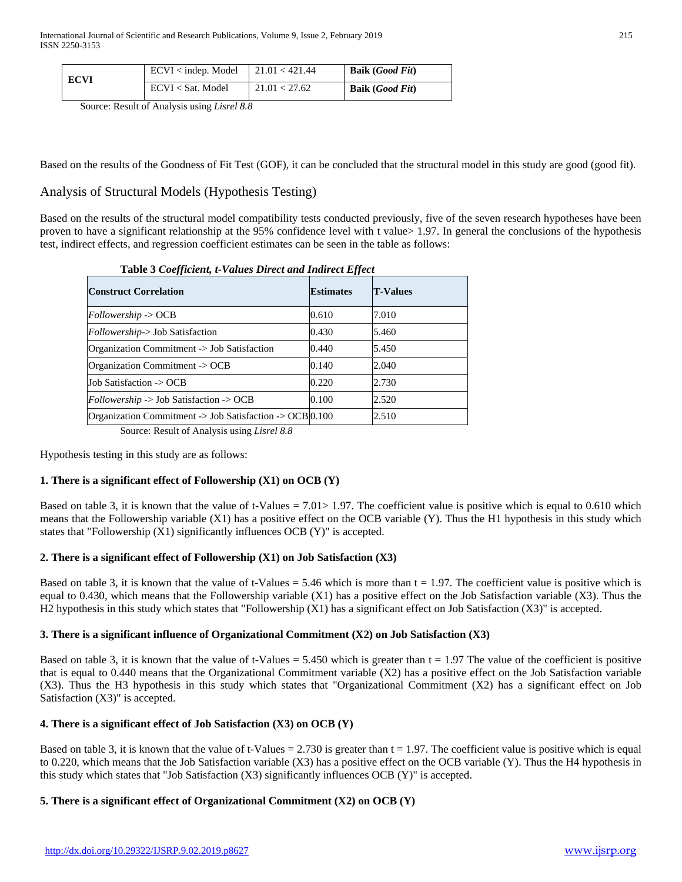| ECVI | ECVI <sub>indep.</sub> Model | 121.01 < 421.44 | <b>Baik</b> ( <i>Good Fit</i> ) |
|------|------------------------------|-----------------|---------------------------------|
|      | ECVI < Sat. Model            | 121.01 < 27.62  | <b>Baik</b> ( <i>Good Fit</i> ) |

Source: Result of Analysis using *Lisrel 8.8*

Based on the results of the Goodness of Fit Test (GOF), it can be concluded that the structural model in this study are good (good fit).

## Analysis of Structural Models (Hypothesis Testing)

Based on the results of the structural model compatibility tests conducted previously, five of the seven research hypotheses have been proven to have a significant relationship at the 95% confidence level with t value> 1.97. In general the conclusions of the hypothesis test, indirect effects, and regression coefficient estimates can be seen in the table as follows:

| Table 9 Coefficient, e-values Direct and Than ect Effect           |                  |                 |  |  |
|--------------------------------------------------------------------|------------------|-----------------|--|--|
| <b>Construct Correlation</b>                                       | <b>Estimates</b> | <b>T-Values</b> |  |  |
| $Followership \rightarrow OCB$                                     | 0.610            | 7.010           |  |  |
| Followership-> Job Satisfaction                                    | 0.430            | 5.460           |  |  |
| Organization Commitment -> Job Satisfaction                        | 0.440            | 5.450           |  |  |
| Organization Commitment -> OCB                                     | 0.140            | 2.040           |  |  |
| Job Satisfaction -> OCB                                            | 0.220            | 2.730           |  |  |
| $Followership \rightarrow Job\ Satisfaction \rightarrow OCB$       | 0.100            | 2.520           |  |  |
| Organization Commitment -> Job Satisfaction -> OCB $ 0.100\rangle$ |                  | 2.510           |  |  |

**Table 3** *Coefficient, t-Values Direct and Indirect Effect*

Source: Result of Analysis using *Lisrel 8.8*

Hypothesis testing in this study are as follows:

#### **1. There is a significant effect of Followership (X1) on OCB (Y)**

Based on table 3, it is known that the value of t-Values  $= 7.01 > 1.97$ . The coefficient value is positive which is equal to 0.610 which means that the Followership variable (X1) has a positive effect on the OCB variable (Y). Thus the H1 hypothesis in this study which states that "Followership (X1) significantly influences OCB (Y)" is accepted.

#### **2. There is a significant effect of Followership (X1) on Job Satisfaction (X3)**

Based on table 3, it is known that the value of t-Values  $= 5.46$  which is more than  $t = 1.97$ . The coefficient value is positive which is equal to 0.430, which means that the Followership variable (X1) has a positive effect on the Job Satisfaction variable (X3). Thus the H2 hypothesis in this study which states that "Followership (X1) has a significant effect on Job Satisfaction (X3)" is accepted.

#### **3. There is a significant influence of Organizational Commitment (X2) on Job Satisfaction (X3)**

Based on table 3, it is known that the value of t-Values  $= 5.450$  which is greater than  $t = 1.97$  The value of the coefficient is positive that is equal to 0.440 means that the Organizational Commitment variable (X2) has a positive effect on the Job Satisfaction variable (X3). Thus the H3 hypothesis in this study which states that "Organizational Commitment (X2) has a significant effect on Job Satisfaction (X3)" is accepted.

#### **4. There is a significant effect of Job Satisfaction (X3) on OCB (Y)**

Based on table 3, it is known that the value of t-Values  $= 2.730$  is greater than t  $= 1.97$ . The coefficient value is positive which is equal to 0.220, which means that the Job Satisfaction variable (X3) has a positive effect on the OCB variable (Y). Thus the H4 hypothesis in this study which states that "Job Satisfaction (X3) significantly influences OCB (Y)" is accepted.

#### **5. There is a significant effect of Organizational Commitment (X2) on OCB (Y)**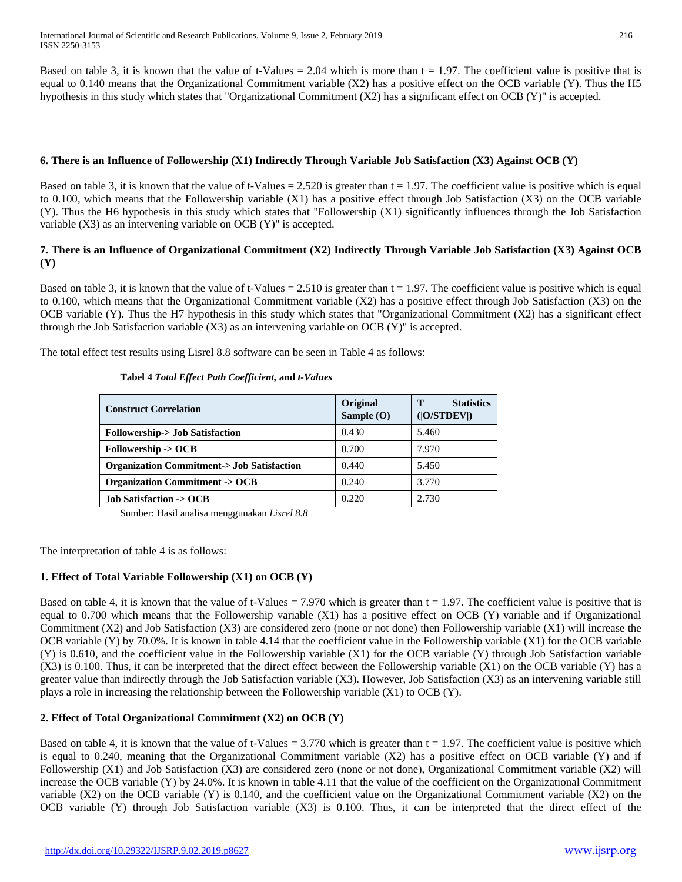Based on table 3, it is known that the value of t-Values  $= 2.04$  which is more than  $t = 1.97$ . The coefficient value is positive that is equal to 0.140 means that the Organizational Commitment variable (X2) has a positive effect on the OCB variable (Y). Thus the H5 hypothesis in this study which states that "Organizational Commitment  $(X2)$  has a significant effect on OCB  $(Y)$ " is accepted.

#### **6. There is an Influence of Followership (X1) Indirectly Through Variable Job Satisfaction (X3) Against OCB (Y)**

Based on table 3, it is known that the value of t-Values =  $2.520$  is greater than t = 1.97. The coefficient value is positive which is equal to 0.100, which means that the Followership variable (X1) has a positive effect through Job Satisfaction (X3) on the OCB variable (Y). Thus the H6 hypothesis in this study which states that "Followership (X1) significantly influences through the Job Satisfaction variable (X3) as an intervening variable on OCB (Y)" is accepted.

#### **7. There is an Influence of Organizational Commitment (X2) Indirectly Through Variable Job Satisfaction (X3) Against OCB (Y)**

Based on table 3, it is known that the value of t-Values  $= 2.510$  is greater than  $t = 1.97$ . The coefficient value is positive which is equal to 0.100, which means that the Organizational Commitment variable (X2) has a positive effect through Job Satisfaction (X3) on the OCB variable (Y). Thus the H7 hypothesis in this study which states that "Organizational Commitment (X2) has a significant effect through the Job Satisfaction variable  $(X3)$  as an intervening variable on OCB  $(Y)$ " is accepted.

The total effect test results using Lisrel 8.8 software can be seen in Table 4 as follows:

| <b>Construct Correlation</b>                         | Original<br>Sample $(O)$ | <b>Statistics</b><br>т<br>( O/STDEV ) |
|------------------------------------------------------|--------------------------|---------------------------------------|
| <b>Followership-&gt; Job Satisfaction</b>            | 0.430                    | 5.460                                 |
| Followership -> OCB                                  | 0.700                    | 7.970                                 |
| <b>Organization Commitment-&gt; Job Satisfaction</b> | 0.440                    | 5.450                                 |
| <b>Organization Commitment -&gt; OCB</b>             | 0.240                    | 3.770                                 |
| <b>Job Satisfaction -&gt; OCB</b>                    | 0.220                    | 2.730                                 |

#### **Tabel 4** *Total Effect Path Coefficient,* **and** *t-Values*

Sumber: Hasil analisa menggunakan *Lisrel 8.8*

The interpretation of table 4 is as follows:

#### **1. Effect of Total Variable Followership (X1) on OCB (Y)**

Based on table 4, it is known that the value of t-Values = 7.970 which is greater than  $t = 1.97$ . The coefficient value is positive that is equal to 0.700 which means that the Followership variable (X1) has a positive effect on OCB (Y) variable and if Organizational Commitment (X2) and Job Satisfaction (X3) are considered zero (none or not done) then Followership variable (X1) will increase the OCB variable (Y) by 70.0%. It is known in table 4.14 that the coefficient value in the Followership variable (X1) for the OCB variable (Y) is 0.610, and the coefficient value in the Followership variable (X1) for the OCB variable (Y) through Job Satisfaction variable (X3) is 0.100. Thus, it can be interpreted that the direct effect between the Followership variable (X1) on the OCB variable (Y) has a greater value than indirectly through the Job Satisfaction variable (X3). However, Job Satisfaction (X3) as an intervening variable still plays a role in increasing the relationship between the Followership variable (X1) to OCB (Y).

## **2. Effect of Total Organizational Commitment (X2) on OCB (Y)**

Based on table 4, it is known that the value of t-Values  $= 3.770$  which is greater than  $t = 1.97$ . The coefficient value is positive which is equal to 0.240, meaning that the Organizational Commitment variable (X2) has a positive effect on OCB variable (Y) and if Followership (X1) and Job Satisfaction (X3) are considered zero (none or not done), Organizational Commitment variable (X2) will increase the OCB variable (Y) by 24.0%. It is known in table 4.11 that the value of the coefficient on the Organizational Commitment variable (X2) on the OCB variable (Y) is 0.140, and the coefficient value on the Organizational Commitment variable (X2) on the OCB variable (Y) through Job Satisfaction variable (X3) is 0.100. Thus, it can be interpreted that the direct effect of the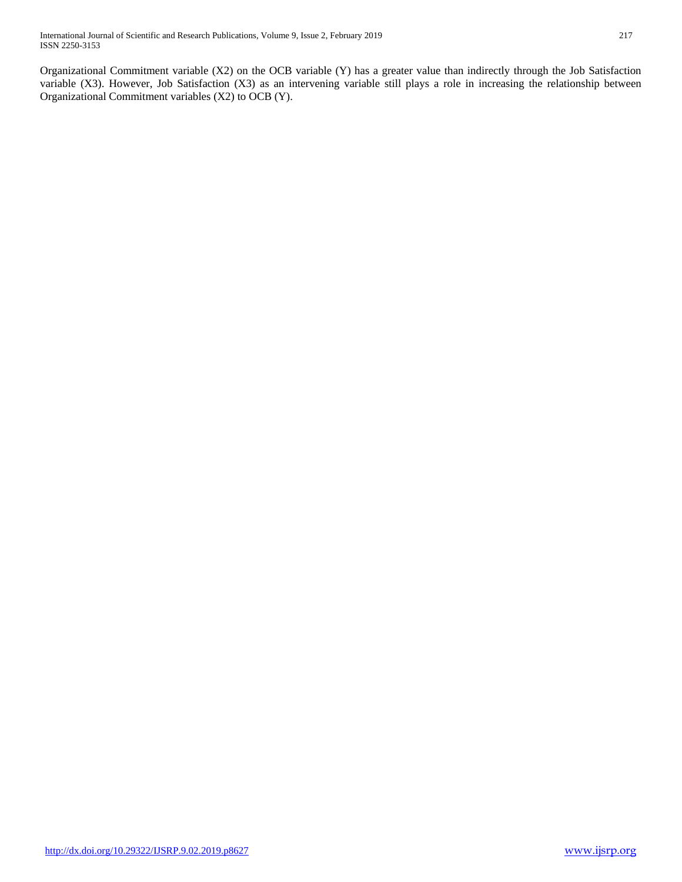Organizational Commitment variable (X2) on the OCB variable (Y) has a greater value than indirectly through the Job Satisfaction variable (X3). However, Job Satisfaction (X3) as an intervening variable still plays a role in increasing the relationship between Organizational Commitment variables (X2) to OCB (Y).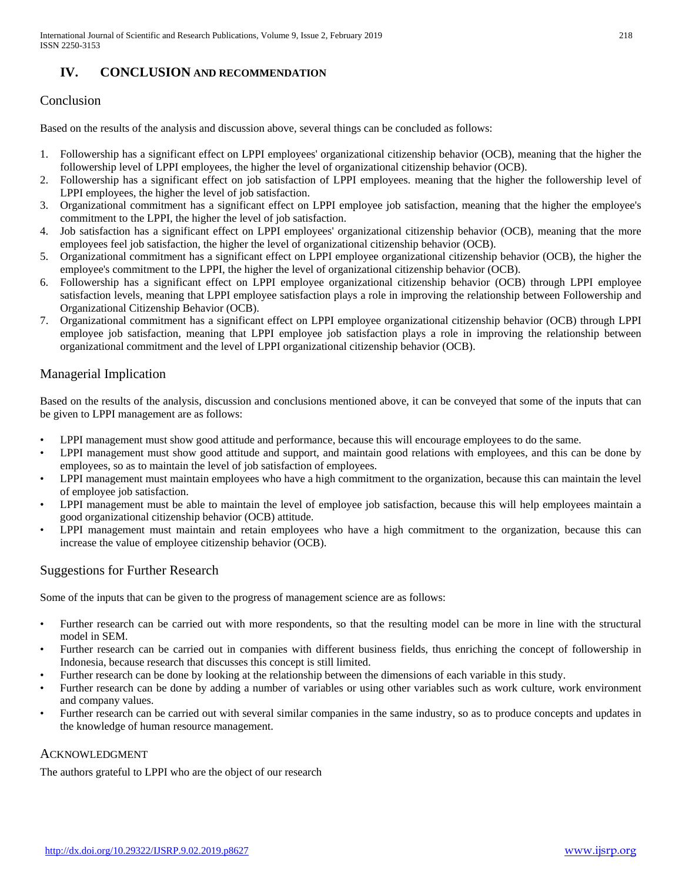## **IV. CONCLUSION AND RECOMMENDATION**

## Conclusion

Based on the results of the analysis and discussion above, several things can be concluded as follows:

- 1. Followership has a significant effect on LPPI employees' organizational citizenship behavior (OCB), meaning that the higher the followership level of LPPI employees, the higher the level of organizational citizenship behavior (OCB).
- 2. Followership has a significant effect on job satisfaction of LPPI employees. meaning that the higher the followership level of LPPI employees, the higher the level of job satisfaction.
- 3. Organizational commitment has a significant effect on LPPI employee job satisfaction, meaning that the higher the employee's commitment to the LPPI, the higher the level of job satisfaction.
- 4. Job satisfaction has a significant effect on LPPI employees' organizational citizenship behavior (OCB), meaning that the more employees feel job satisfaction, the higher the level of organizational citizenship behavior (OCB).
- 5. Organizational commitment has a significant effect on LPPI employee organizational citizenship behavior (OCB), the higher the employee's commitment to the LPPI, the higher the level of organizational citizenship behavior (OCB).
- 6. Followership has a significant effect on LPPI employee organizational citizenship behavior (OCB) through LPPI employee satisfaction levels, meaning that LPPI employee satisfaction plays a role in improving the relationship between Followership and Organizational Citizenship Behavior (OCB).
- 7. Organizational commitment has a significant effect on LPPI employee organizational citizenship behavior (OCB) through LPPI employee job satisfaction, meaning that LPPI employee job satisfaction plays a role in improving the relationship between organizational commitment and the level of LPPI organizational citizenship behavior (OCB).

## Managerial Implication

Based on the results of the analysis, discussion and conclusions mentioned above, it can be conveyed that some of the inputs that can be given to LPPI management are as follows:

- LPPI management must show good attitude and performance, because this will encourage employees to do the same.
- LPPI management must show good attitude and support, and maintain good relations with employees, and this can be done by employees, so as to maintain the level of job satisfaction of employees.
- LPPI management must maintain employees who have a high commitment to the organization, because this can maintain the level of employee job satisfaction.
- LPPI management must be able to maintain the level of employee job satisfaction, because this will help employees maintain a good organizational citizenship behavior (OCB) attitude.
- LPPI management must maintain and retain employees who have a high commitment to the organization, because this can increase the value of employee citizenship behavior (OCB).

## Suggestions for Further Research

Some of the inputs that can be given to the progress of management science are as follows:

- Further research can be carried out with more respondents, so that the resulting model can be more in line with the structural model in SEM.
- Further research can be carried out in companies with different business fields, thus enriching the concept of followership in Indonesia, because research that discusses this concept is still limited.
- Further research can be done by looking at the relationship between the dimensions of each variable in this study.
- Further research can be done by adding a number of variables or using other variables such as work culture, work environment and company values.
- Further research can be carried out with several similar companies in the same industry, so as to produce concepts and updates in the knowledge of human resource management.

#### ACKNOWLEDGMENT

The authors grateful to LPPI who are the object of our research